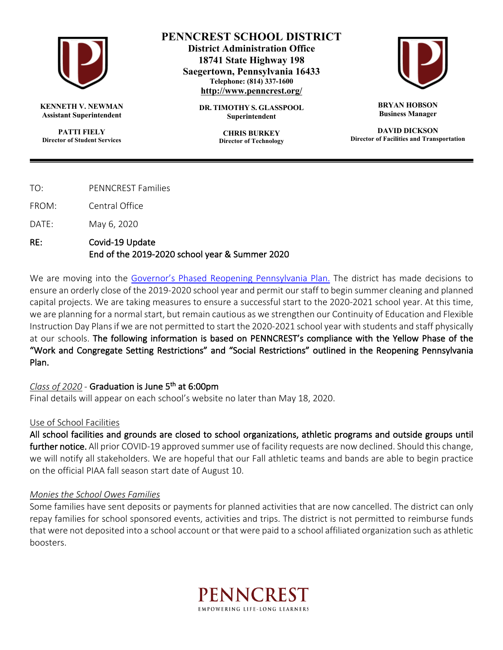

**KENNETH V. NEWMAN Assistant Superintendent**

**PATTI FIELY Director of Student Services**

## **PENNCREST SCHOOL DISTRICT**

**District Administration Office 18741 State Highway 198 Saegertown, Pennsylvania 16433 Telephone: (814) 337-1600 http://www.penncrest.org/**

> **DR. TIMOTHY S. GLASSPOOL Superintendent**

> > **CHRIS BURKEY Director of Technology**



**BRYAN HOBSON Business Manager**

**DAVID DICKSON Director of Facilities and Transportation**

TO: PENNCREST Families

FROM: Central Office

DATE: May 6, 2020

### RE: Covid-19 Update End of the 2019-2020 school year & Summer 2020

We are moving into the Governor's Phased Reopening Pennsylvania Plan. The district has made decisions to ensure an orderly close of the 2019-2020 school year and permit our staff to begin summer cleaning and planned capital projects. We are taking measures to ensure a successful start to the 2020-2021 school year. At this time, we are planning for a normal start, but remain cautious as we strengthen our Continuity of Education and Flexible Instruction Day Plans if we are not permitted to start the 2020-2021 school year with students and staff physically at our schools. The following information is based on PENNCREST's compliance with the Yellow Phase of the "Work and Congregate Setting Restrictions" and "Social Restrictions" outlined in the Reopening Pennsylvania Plan.

#### *Class of 2020* - Graduation is June 5th at 6:00pm

Final details will appear on each school's website no later than May 18, 2020.

#### Use of School Facilities

All school facilities and grounds are closed to school organizations, athletic programs and outside groups until further notice. All prior COVID-19 approved summer use of facility requests are now declined. Should this change, we will notify all stakeholders. We are hopeful that our Fall athletic teams and bands are able to begin practice on the official PIAA fall season start date of August 10.

#### *Monies the School Owes Families*

Some families have sent deposits or payments for planned activities that are now cancelled. The district can only repay families for school sponsored events, activities and trips. The district is not permitted to reimburse funds that were not deposited into a school account or that were paid to a school affiliated organization such as athletic boosters.